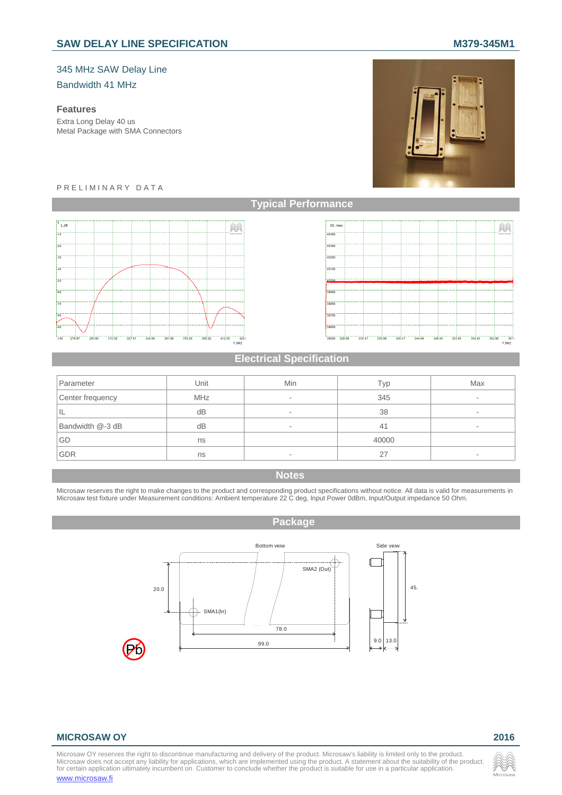# SAW DELAY LINE SPECIFICATION **M379-345M1**

## 345 MHz SAW Delay Line

#### Bandwidth 41 MHz

## **Features**

Extra Long Delay 40 us Metal Package with SMA Connectors



#### P R E L I M I N A R Y D A T A





## **Electrical Specification**

| Parameter        | Unit       | Min | Typ   | Max |
|------------------|------------|-----|-------|-----|
| Center frequency | <b>MHz</b> | ۰   | 345   | ۰   |
| IL               | dB         | ۰   | 38    | ۰   |
| Bandwidth @-3 dB | dB         | ۰   | 41    |     |
| GD               | ns         |     | 40000 |     |
| GDR              | ns         | -   | 27    |     |

### **Notes**

Microsaw reserves the right to make changes to the product and corresponding product specifications without notice. All data is valid for measurements in<br>Microsaw test fixture under Measurement conditions: Ambient temperat

#### **Package**



#### **MICROSAW OY 2016**

Microsaw OY reserves the right to discontinue manufacturing and delivery of the product. Microsaw's liability is limited only to the product.<br>Microsaw does not accept any liability for applications, which are implemented u www.microsaw.fi